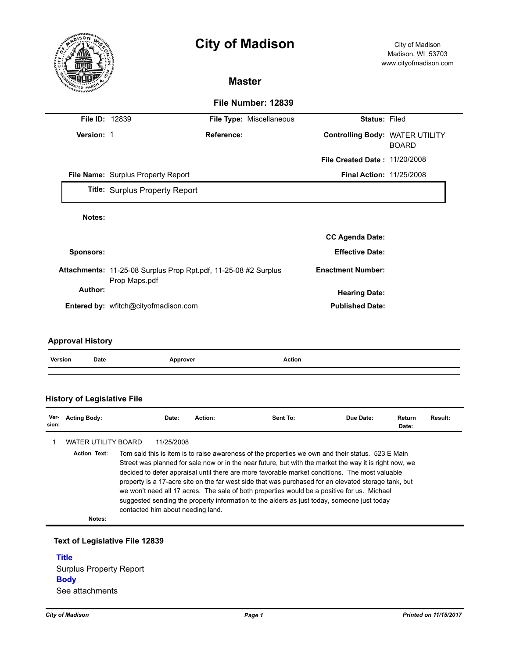

## **History of Legislative File**

| Ver-<br>sion: | <b>Acting Body:</b> |                                                                                                                                                                                                                                                                                                                                                                                                                                                                                                                                                                                                                                                         | Date:      | Action: | Sent To: | Due Date: | Return<br>Date: | Result: |
|---------------|---------------------|---------------------------------------------------------------------------------------------------------------------------------------------------------------------------------------------------------------------------------------------------------------------------------------------------------------------------------------------------------------------------------------------------------------------------------------------------------------------------------------------------------------------------------------------------------------------------------------------------------------------------------------------------------|------------|---------|----------|-----------|-----------------|---------|
|               | WATER UTILITY BOARD |                                                                                                                                                                                                                                                                                                                                                                                                                                                                                                                                                                                                                                                         | 11/25/2008 |         |          |           |                 |         |
|               | <b>Action Text:</b> | Tom said this is item is to raise awareness of the properties we own and their status. 523 E Main<br>Street was planned for sale now or in the near future, but with the market the way it is right now, we<br>decided to defer appraisal until there are more favorable market conditions. The most valuable<br>property is a 17-acre site on the far west side that was purchased for an elevated storage tank, but<br>we won't need all 17 acres. The sale of both properties would be a positive for us. Michael<br>suggested sending the property information to the alders as just today, someone just today<br>contacted him about needing land. |            |         |          |           |                 |         |
|               | Notes:              |                                                                                                                                                                                                                                                                                                                                                                                                                                                                                                                                                                                                                                                         |            |         |          |           |                 |         |

## **Text of Legislative File 12839**

**Title** Surplus Property Report **Body** See attachments